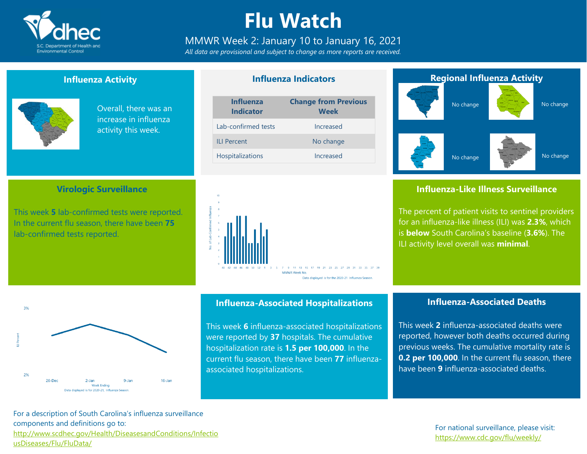

### **Flu Watch**

#### MMWR Week 2: January 10 to January 16, 2021

*All data are provisional and subject to change as more reports are received.*

#### **Influenza Activity**

**Virologic Surveillance**

This week **5** lab-confirmed tests were reported. In the current flu season, there have been **75**

lab-confirmed tests reported.



Overall, there was an increase in influenza activity this week.

### **Influenza Indicators**

| <b>Influenza</b><br><b>Indicator</b> | <b>Change from Previous</b><br><b>Week</b> |
|--------------------------------------|--------------------------------------------|
| Lab-confirmed tests                  | Increased                                  |
| <b>ILI Percent</b>                   | No change                                  |
| <b>Hospitalizations</b>              | Increased                                  |



# **Regional Influenza Activity** No change No change

No change

#### **Influenza-Like Illness Surveillance**

No change

The percent of patient visits to sentinel providers for an influenza-like illness (ILI) was **2.3%**, which is **below** South Carolina's baseline (**3.6%**). The ILI activity level overall was **minimal**.



#### **Influenza-Associated Hospitalizations**

This week **6** influenza-associated hospitalizations were reported by **37** hospitals. The cumulative hospitalization rate is **1.5 per 100,000**. In the current flu season, there have been **77** influenzaassociated hospitalizations.

#### **Influenza-Associated Deaths**

This week **2** influenza-associated deaths were reported, however both deaths occurred during previous weeks. The cumulative mortality rate is **0.2 per 100,000**. In the current flu season, there have been **9** influenza-associated deaths.

For a description of South Carolina's influenza surveillance components and definitions go to: [http://www.scdhec.gov/Health/DiseasesandConditions/Infectio](http://www.scdhec.gov/Health/DiseasesandConditions/InfectiousDiseases/Flu/FluData/) [usDiseases/Flu/FluData/](http://www.scdhec.gov/Health/DiseasesandConditions/InfectiousDiseases/Flu/FluData/)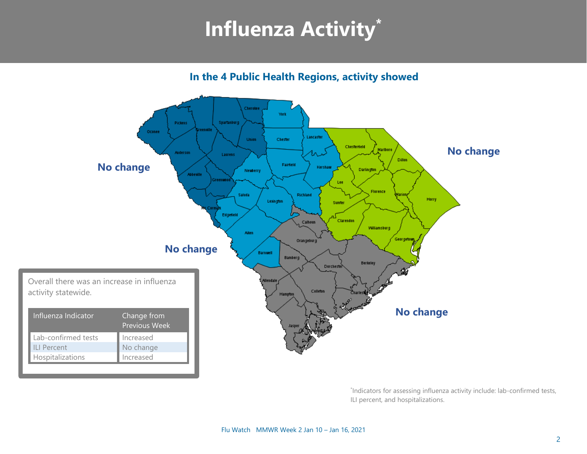### **Influenza Activity\***

**In the 4 Public Health Regions, activity showed**



\* Indicators for assessing influenza activity include: lab-confirmed tests, ILI percent, and hospitalizations.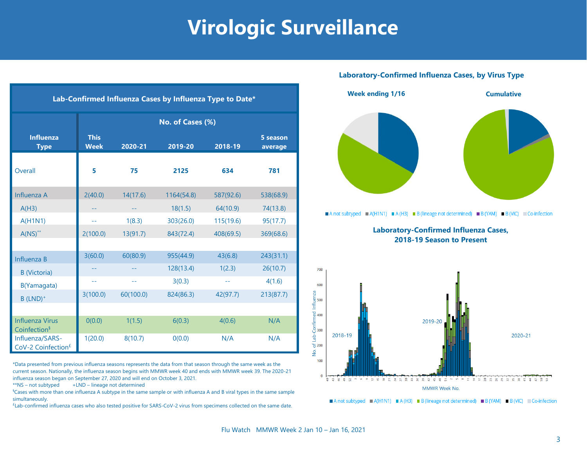### **Virologic Surveillance**

| Lab-Confirmed Influenza Cases by Influenza Type to Date* |                            |           |            |           |                     |  |
|----------------------------------------------------------|----------------------------|-----------|------------|-----------|---------------------|--|
|                                                          | No. of Cases (%)           |           |            |           |                     |  |
| <b>Influenza</b><br><b>Type</b>                          | <b>This</b><br><b>Week</b> | 2020-21   | 2019-20    | 2018-19   | 5 season<br>average |  |
| Overall                                                  | 5                          | 75        | 2125       | 634       | 781                 |  |
| Influenza A                                              | 2(40.0)                    | 14(17.6)  | 1164(54.8) | 587(92.6) | 538(68.9)           |  |
| A(H3)                                                    |                            | --        | 18(1.5)    | 64(10.9)  | 74(13.8)            |  |
| A(H1N1)                                                  | $-1$                       | 1(8.3)    | 303(26.0)  | 115(19.6) | 95(17.7)            |  |
| $A(NS)^{**}$                                             | 2(100.0)                   | 13(91.7)  | 843(72.4)  | 408(69.5) | 369(68.6)           |  |
|                                                          |                            |           |            |           |                     |  |
| Influenza B                                              | 3(60.0)                    | 60(80.9)  | 955(44.9)  | 43(6.8)   | 243(31.1)           |  |
| <b>B</b> (Victoria)                                      |                            |           | 128(13.4)  | 1(2.3)    | 26(10.7)            |  |
| B(Yamagata)                                              | $-$                        | $-$       | 3(0.3)     | $-1$      | 4(1.6)              |  |
| $B$ (LND) <sup>+</sup>                                   | 3(100.0)                   | 60(100.0) | 824(86.3)  | 42(97.7)  | 213(87.7)           |  |
|                                                          |                            |           |            |           |                     |  |
| <b>Influenza Virus</b><br>Coinfection <sup>§</sup>       | O(0.0)                     | 1(1.5)    | 6(0.3)     | 4(0.6)    | N/A                 |  |
| Influenza/SARS-<br>CoV-2 Coinfection <sup>£</sup>        | 1(20.0)                    | 8(10.7)   | 0(0.0)     | N/A       | N/A                 |  |

\*Data presented from previous influenza seasons represents the data from that season through the same week as the current season. Nationally, the influenza season begins with MMWR week 40 and ends with MMWR week 39. The 2020-21 influenza season began on September 27, 2020 and will end on October 3, 2021.

 $**$ NS – not subtyped  $+LND$  – lineage not determined

§Cases with more than one influenza A subtype in the same sample or with influenza A and B viral types in the same sample simultaneously.

£ Lab-confirmed influenza cases who also tested positive for SARS-CoV-2 virus from specimens collected on the same date.

#### **Laboratory-Confirmed Influenza Cases, by Virus Type**





A not subtyped  $A(H1N1) = A(H3) = B$  (lineage not determined) B (YAM) B (VIC) Co-infection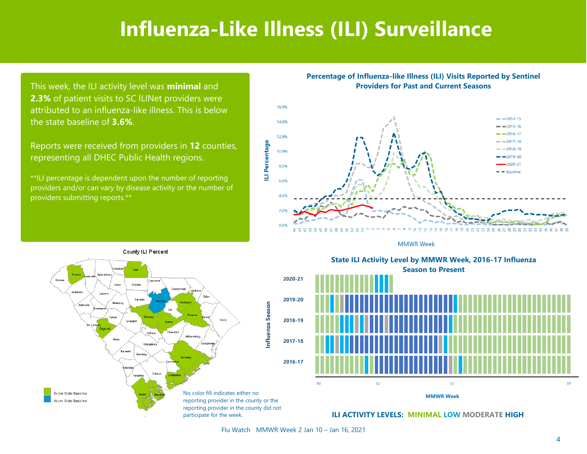### **Influenza-Like Illness (ILI) Surveillance**

This week, the ILI activity level was **minimal** and **2.3%** of patient visits to SC ILINet providers were attributed to an influenza-like illness. This is below the state baseline of **3.6%**.

Reports were received from providers in **12** counties, representing all DHEC Public Health regions.

\*\*ILI percentage is dependent upon the number of reporting providers and/or can vary by disease activity or the number of providers submitting reports.\*\*

**Percentage of Influenza-like Illness (ILI) Visits Reported by Sentinel Providers for Past and Current Seasons**



**MMWR Week** 



State ILI Activity Level by MMWR Week, 2016-17 Influenza **Season to Present** Season to Present **State ILI Activity Level by MMWR Week, 2016-17 Influenza**



**ILI ACTIVITY LEVELS: MINIMAL LOW MODERATE HIGH**

Flu Watch MMWR Week 2 Jan 10 – Jan 16, 2021